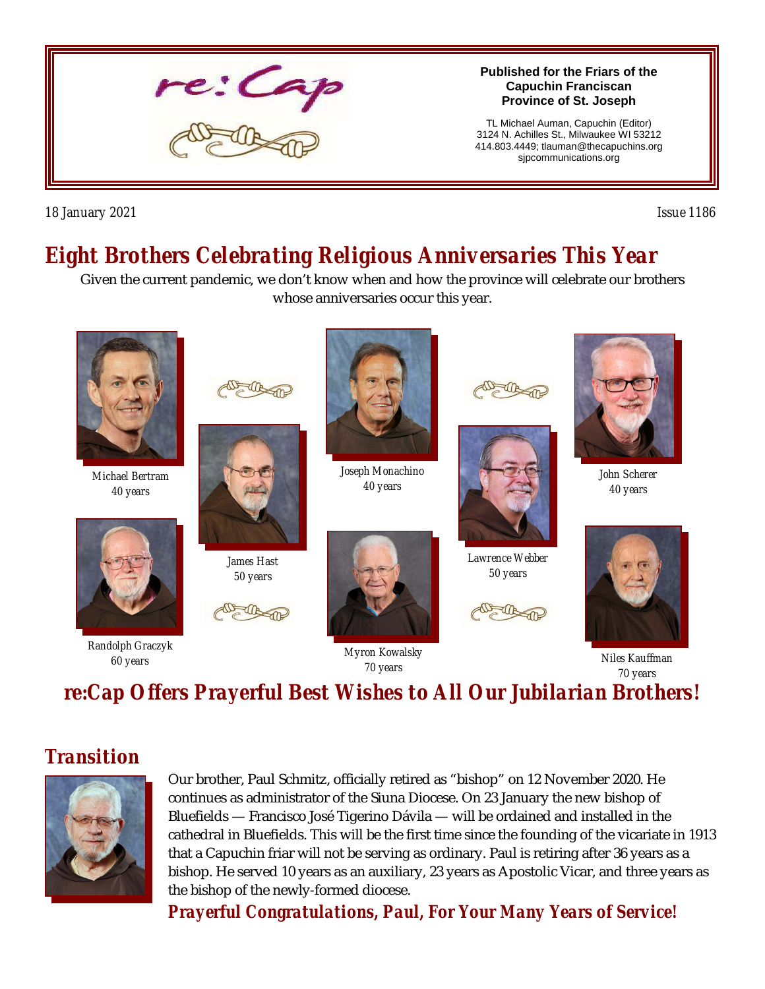

*18 January 2021 Issue 1186* 

# *Eight Brothers Celebrating Religious Anniversaries This Year*

Given the current pandemic, we don't know when and how the province will celebrate our brothers whose anniversaries occur this year.



*70 years 70 years re:Cap Offers Prayerful Best Wishes to All Our Jubilarian Brothers!*

### *Transition*



Our brother, Paul Schmitz, officially retired as "bishop" on 12 November 2020. He continues as administrator of the Siuna Diocese. On 23 January the new bishop of Bluefields — Francisco José Tigerino Dávila — will be ordained and installed in the cathedral in Bluefields. This will be the first time since the founding of the vicariate in 1913 that a Capuchin friar will not be serving as ordinary. Paul is retiring after 36 years as a bishop. He served 10 years as an auxiliary, 23 years as Apostolic Vicar, and three years as the bishop of the newly-formed diocese.

*Prayerful Congratulations, Paul, For Your Many Years of Service!*